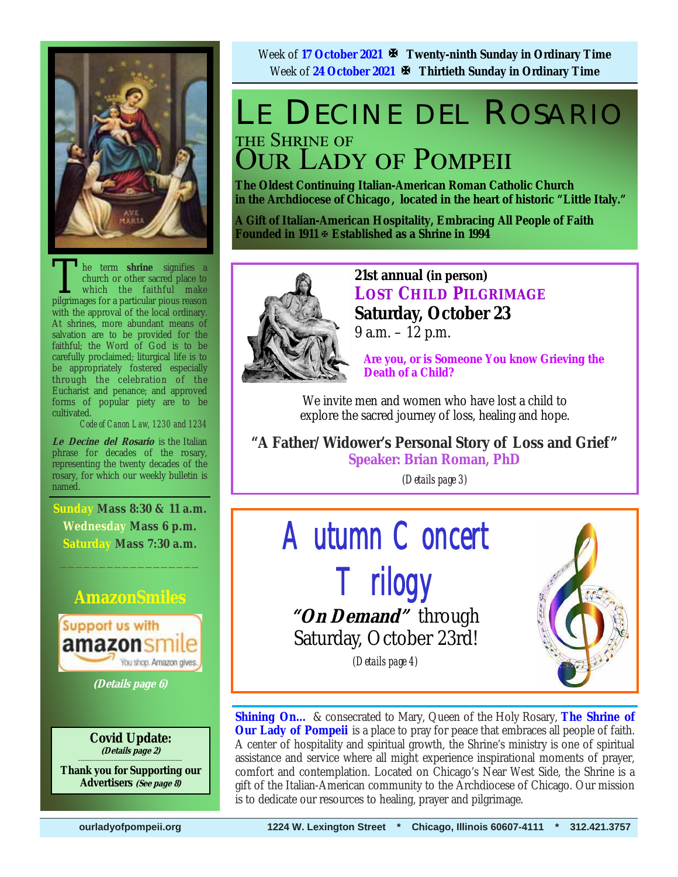

The term **shrine** signifies a church or other sacred place to which the faithful make pilerimages for a particular pious reason church or other sacred place to which the faithful make pilgrimages for a particular pious reason with the approval of the local ordinary. At shrines, more abundant means of salvation are to be provided for the faithful; the Word of God is to be carefully proclaimed; liturgical life is to be appropriately fostered especially through the celebration of the Eucharist and penance; and approved forms of popular piety are to be cultivated.

*Code of Canon Law, 1230 and 1234* 

**Le Decine del Rosario** is the Italian phrase for decades of the rosary, representing the twenty decades of the rosary, for which our weekly bulletin is named.

**Sunday Mass 8:30 & 11 a.m. Wednesday Mass 6 p.m. Saturday Mass 7:30 a.m.** 

 $\frac{1}{2}$  ,  $\frac{1}{2}$  ,  $\frac{1}{2}$  ,  $\frac{1}{2}$  ,  $\frac{1}{2}$  ,  $\frac{1}{2}$  ,  $\frac{1}{2}$  ,  $\frac{1}{2}$ 

### **AmazonSmiles**



**(Details page 6)**

**Covid Update: (Details page 2)** 

**\_\_\_\_\_\_\_\_\_\_\_\_\_\_\_\_\_\_\_\_\_\_\_\_\_\_\_\_\_\_\_\_\_\_\_\_\_\_\_\_\_\_\_\_\_\_\_ Thank you for Supporting our Advertisers (See page 8)**

Week of **17 October 2021 Twenty-ninth Sunday in Ordinary Time** Week of **24 October 2021 Thirtieth Sunday in Ordinary Time** 

## LE DECINE DEL ROSARIO THE SHRINE OF **OUR LADY OF POMPEII**

**The Oldest Continuing Italian-American Roman Catholic Church in the Archdiocese of Chicago , located in the heart of historic "Little Italy."** 

**A Gift of Italian-American Hospitality, Embracing All People of Faith Founded in 1911 Established as a Shrine in 1994**



**21st annual (in person) LOST CHILD PILGRIMAGE Saturday, October 23**  9 a.m. – 12 p.m.

 **Are you, or is Someone You know Grieving the Death of a Child?** 

We invite men and women who have lost a child to explore the sacred journey of loss, healing and hope.

**"A Father/Widower's Personal Story of Loss and Grief " Speaker: Brian Roman, PhD** 

*(Details page 3)*



**Shining On…** & consecrated to Mary, Queen of the Holy Rosary, **The Shrine of Our Lady of Pompeii** is a place to pray for peace that embraces all people of faith. A center of hospitality and spiritual growth, the Shrine's ministry is one of spiritual assistance and service where all might experience inspirational moments of prayer, comfort and contemplation. Located on Chicago's Near West Side, the Shrine is a gift of the Italian-American community to the Archdiocese of Chicago. Our mission is to dedicate our resources to healing, prayer and pilgrimage.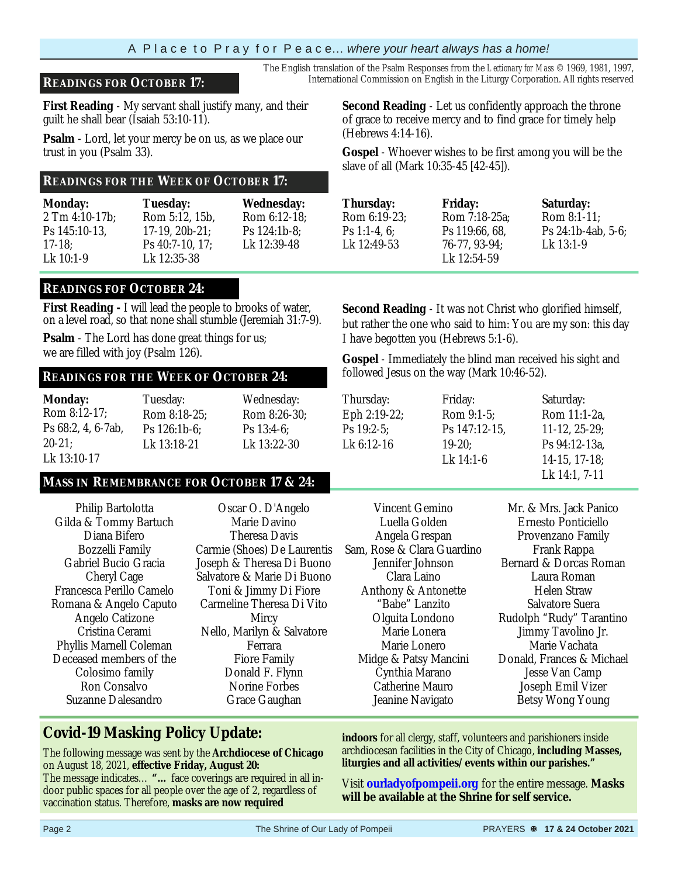### **READINGS FOR OCTOBER 17:** International Commission on English in the Liturgy Corporation. All rights reserved

**First Reading** - My servant shall justify many, and their guilt he shall bear (Isaiah 53:10-11).

**Psalm** - Lord, let your mercy be on us, as we place our trust in you (Psalm 33).

#### **READINGS FOR THE WEEK OF OCTOBER 17:**

| <b>Monday:</b> | <b>Tuesday:</b>      | <b>Wednesday:</b> |
|----------------|----------------------|-------------------|
| 2 Tm 4:10-17b; | Rom 5:12, 15b.       | Rom 6:12-18:      |
| Ps 145:10-13.  | $17-19$ , $20b-21$ ; | Ps 124:1b-8:      |
| $17-18$ ;      | Ps 40:7-10, 17:      | Lk 12:39-48       |
| Lk 10:1-9      | Lk 12:35-38          |                   |

#### **READINGS FOF OCTOBER 24:**

**First Reading -** I will lead the people to brooks of water, on a level road, so that none shall stumble (Jeremiah 31:7-9).

**Psalm** - The Lord has done great things for us; we are filled with joy (Psalm 126).

### followed Jesus on the way (Mark 10:46-52). **READINGS FOR THE WEEK OF OCTOBER 24:**

| <b>Monday:</b>     | Tuesday:     | Wednesday:    |
|--------------------|--------------|---------------|
| Rom 8:12-17;       | Rom 8:18-25; | Rom 8:26-30;  |
| Ps 68:2, 4, 6-7ab, | Ps 126:1b-6: | Ps $13:4-6$ : |
| $20-21$ ;          | Lk 13:18-21  | Lk 13:22-30   |
| Lk 13:10-17        |              |               |

### Lk 14:1, 7-11 **MASS IN REMEMBRANCE FOR OCTOBER 17 & 24:**

Philip Bartolotta Gilda & Tommy Bartuch Diana Bifero Bozzelli Family Gabriel Bucio Gracia Cheryl Cage Francesca Perillo Camelo Romana & Angelo Caputo Angelo Catizone Cristina Cerami Phyllis Marnell Coleman Deceased members of the Colosimo family Ron Consalvo Suzanne Dalesandro

Oscar O. D'Angelo Marie Davino Theresa Davis Carmie (Shoes) De Laurentis Joseph & Theresa Di Buono Salvatore & Marie Di Buono Toni & Jimmy Di Fiore Carmeline Theresa Di Vito Mircy Nello, Marilyn & Salvatore Ferrara Fiore Family Donald F. Flynn Norine Forbes Grace Gaughan

**Second Reading** - Let us confidently approach the throne of grace to receive mercy and to find grace for timely help (Hebrews 4:14-16).

The English translation of the Psalm Responses from the *Lectionary for Mass* © 1969, 1981, 1997,

**Gospel** - Whoever wishes to be first among you will be the slave of all (Mark 10:35-45 [42-45]).

| Thursday:    |
|--------------|
| Rom 6:19-23; |
| Ps 1:1-4, 6; |
| Lk 12:49-53  |
|              |

**Friday:**  Rom 7:18-25a; Ps 119:66, 68, 76-77, 93-94; Lk 12:54-59

**Saturday:**  Rom 8:1-11; Ps 24:1b-4ab, 5-6; Lk 13:1-9

**Second Reading** - It was not Christ who glorified himself, but rather the one who said to him: You are my son: this day I have begotten you (Hebrews 5:1-6).

**Gospel** - Immediately the blind man received his sight and

| Thursday:    | Friday:       | Saturday:                      |
|--------------|---------------|--------------------------------|
| Eph 2:19-22; | Rom 9:1-5;    | Rom 11:1-2a,                   |
| $Ps$ 19:2-5: | Ps 147:12-15. | $11-12, 25-29;$                |
| Lk 6:12-16   | $19-20$ ;     | Ps 94:12-13a,                  |
|              | Lk 14:1-6     | $14-15$ , $17-18$ ;            |
|              |               | $I \downarrow 1A \cdot 1$ 7.11 |

Vincent Gemino Luella Golden Angela Grespan Sam, Rose & Clara Guardino Jennifer Johnson Clara Laino Anthony & Antonette "Babe" Lanzito Olguita Londono Marie Lonera Marie Lonero Midge & Patsy Mancini Cynthia Marano Catherine Mauro Jeanine Navigato

Mr. & Mrs. Jack Panico Ernesto Ponticiello Provenzano Family Frank Rappa Bernard & Dorcas Roman Laura Roman Helen Straw Salvatore Suera Rudolph "Rudy" Tarantino Jimmy Tavolino Jr. Marie Vachata Donald, Frances & Michael Jesse Van Camp Joseph Emil Vizer Betsy Wong Young

### **Covid-19 Masking Policy Update:**

 The following message was sent by the **Archdiocese of Chicago**  on August 18, 2021, **effective Friday, August 20:** 

The message indicates… **"…** face coverings are required in all indoor public spaces for all people over the age of 2, regardless of vaccination status. Therefore, **masks are now required** 

**indoors** for all clergy, staff, volunteers and parishioners inside archdiocesan facilities in the City of Chicago, **including Masses, liturgies and all activities/events within our parishes."** 

Visit **ourladyofpompeii.org** for the entire message. **Masks will be available at the Shrine for self service.**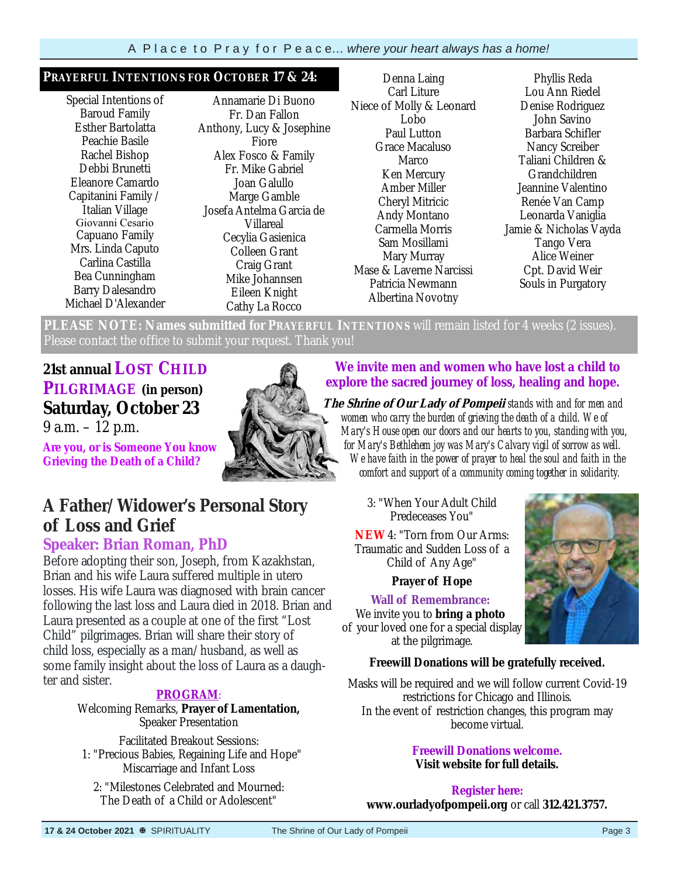#### **PRAYERFUL INTENTIONS FOR OCTOBER 17 & 24:**

Special Intentions of Baroud Family Esther Bartolatta Peachie Basile Rachel Bishop Debbi Brunetti Eleanore Camardo Capitanini Family / Italian Village Giovanni Cesario Capuano Family Mrs. Linda Caputo Carlina Castilla Bea Cunningham Barry Dalesandro Michael D'Alexander

Annamarie Di Buono Fr. Dan Fallon Anthony, Lucy & Josephine Fiore Alex Fosco & Family Fr. Mike Gabriel Joan Galullo Marge Gamble Josefa Antelma Garcia de Villareal Cecylia Gasienica Colleen Grant Craig Grant Mike Johannsen Eileen Knight Cathy La Rocco

Denna Laing Carl Liture Niece of Molly & Leonard Lobo Paul Lutton Grace Macaluso Marco Ken Mercury Amber Miller Cheryl Mitricic Andy Montano Carmella Morris Sam Mosillami Mary Murray Mase & Laverne Narcissi Patricia Newmann Albertina Novotny

Phyllis Reda Lou Ann Riedel Denise Rodriguez John Savino Barbara Schifler Nancy Screiber Taliani Children & Grandchildren Jeannine Valentino Renée Van Camp Leonarda Vaniglia Jamie & Nicholas Vayda Tango Vera Alice Weiner Cpt. David Weir Souls in Purgatory

**PLEASE NOTE: Names submitted for PRAYERFUL INTENTIONS** will remain listed for 4 weeks (2 issues). Please contact the office to submit your request. Thank you!

## **21st annual LOST CHILD**

### **PILGRIMAGE (in person) Saturday, October 23**

9 a.m. – 12 p.m.

**Are you, or is Someone You know Grieving the Death of a Child?** 

## **A Father/Widower's Personal Story of Loss and Grief**

### **Speaker: Brian Roman, PhD**

Before adopting their son, Joseph, from Kazakhstan, Brian and his wife Laura suffered multiple in utero losses. His wife Laura was diagnosed with brain cancer following the last loss and Laura died in 2018. Brian and Laura presented as a couple at one of the first "Lost Child" pilgrimages. Brian will share their story of child loss, especially as a man/husband, as well as some family insight about the loss of Laura as a daughter and sister.

### **PROGRAM**:

### Welcoming Remarks, **Prayer of Lamentation,**

Speaker Presentation Facilitated Breakout Sessions:

 1: "Precious Babies, Regaining Life and Hope" Miscarriage and Infant Loss

2: "Milestones Celebrated and Mourned: The Death of a Child or Adolescent"

### **We invite men and women who have lost a child to explore the sacred journey of loss, healing and hope.**

 **The Shrine of Our Lady of Pompeii** *stands with and for men and women who carry the burden of grieving the death of a child. We of Mary's House open our doors and our hearts to you, standing with you, for Mary's Bethlehem joy was Mary's Calvary vigil of sorrow as well. We have faith in the power of prayer to heal the soul and faith in the comfort and support of a community coming together in solidarity.* 

> 3: "When Your Adult Child Predeceases You"

**NEW** 4: "Torn from Our Arms: Traumatic and Sudden Loss of a Child of Any Age"

### **Prayer of Hope**

**Wall of Remembrance:**  We invite you to **bring a photo** of your loved one for a special display at the pilgrimage.



Masks will be required and we will follow current Covid-19 restrictions for Chicago and Illinois. In the event of restriction changes, this program may become virtual.

#### **Freewill Donations welcome. Visit website for full details.**

**Register here: www.ourladyofpompeii.org** or call **312.421.3757.**

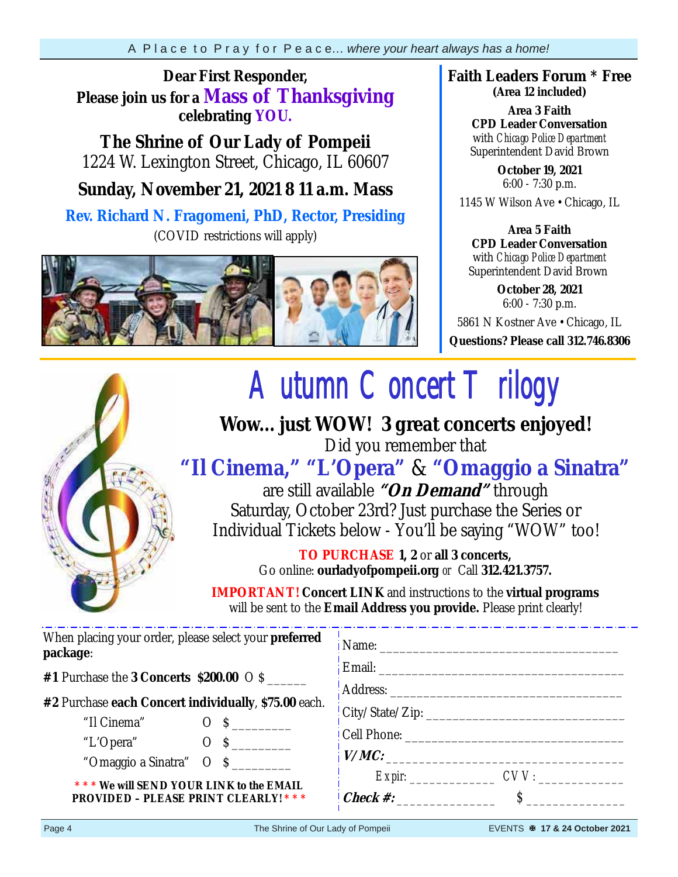### **Dear First Responder, Please join us for a Mass of Thanksgiving celebrating YOU.**

**The Shrine of Our Lady of Pompeii**  1224 W. Lexington Street, Chicago, IL 60607

### **Sunday, November 21, 2021 8 11 a.m. Mass**

**Rev. Richard N. Fragomeni, PhD, Rector, Presiding**  (COVID restrictions will apply)



**Faith Leaders Forum \* Free (Area 12 included)**

> **Area 3 Faith CPD Leader Conversation** with *Chicago Police Department* Superintendent David Brown

**October 19, 2021**  6:00 - 7:30 p.m.

1145 W Wilson Ave • Chicago, IL

#### **Area 5 Faith CPD Leader Conversation** with *Chicago Police Department* Superintendent David Brown

**October 28, 2021** 6:00 - 7:30 p.m.

5861 N Kostner Ave • Chicago, IL

**Questions? Please call 312.746.8306** 



# *Autumn Concert Trilogy* **Wow... just WOW! 3 great concerts enjoyed!**

Did you remember that

## **"Il Cinema," "L'Opera"** & **"Omaggio a Sinatra"**

are still available **"On Demand"** through Saturday, October 23rd? Just purchase the Series or Individual Tickets below - You'll be saying "WOW" too!

> **TO PURCHASE 1, 2** or **all 3 concerts,**  Go online: **ourladyofpompeii.org** *or* Call **312.421.3757.**

**IMPORTANT! Concert LINK** and instructions to the **virtual programs**  will be sent to the **Email Address you provide.** Please print clearly!

| When placing your order, please select your <b>preferred</b><br>package: |                               |  |  |  |  |
|--------------------------------------------------------------------------|-------------------------------|--|--|--|--|
| #1 Purchase the 3 Concerts \$200.00 $\circ$ \$                           |                               |  |  |  |  |
|                                                                          |                               |  |  |  |  |
| #2 Purchase each Concert individually, \$75.00 each.                     | $\vert$ City/State/Zip:       |  |  |  |  |
| "Il Cinema" O \$                                                         |                               |  |  |  |  |
| "L'Opera" $O \quad S$                                                    |                               |  |  |  |  |
| "Omaggio a Sinatra" $\sigma$ \$                                          | V/MC:                         |  |  |  |  |
| *** We will SEND YOUR LINK to the EMAIL                                  |                               |  |  |  |  |
| <b>PROVIDED - PLEASE PRINT CLEARLY! ***</b>                              | <b>Check #:</b> $\mathcal{S}$ |  |  |  |  |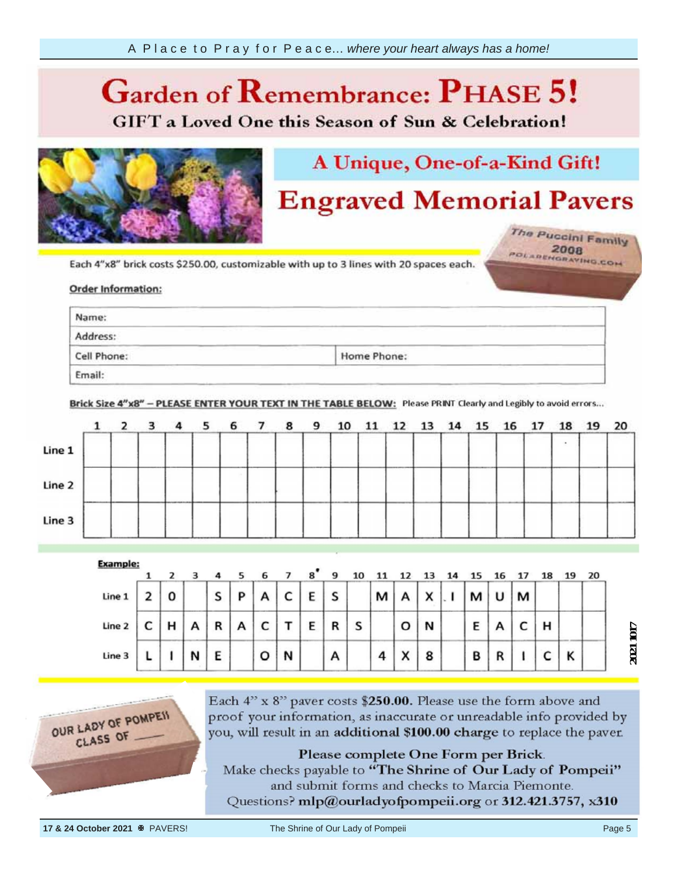## $\overline{\mathcal{C}}$ **Phase 6.**

**GIFT** a Loved One this Season of Sun & Celebration!



## A Unique, One-of-a-Kind Gift!

## **Engraved Memorial Pavers**

The Puccini Family POLARENGRAVING.COM

Each 4"x8" brick costs \$250.00, customizable with up to 3 lines with 20 spaces each.

#### unreadable info **provided** information

| Name:                                                                                               | <b>Contract Contract Contract</b>                                                                                                                                                                                                                                                            |                                                                                                               |
|-----------------------------------------------------------------------------------------------------|----------------------------------------------------------------------------------------------------------------------------------------------------------------------------------------------------------------------------------------------------------------------------------------------|---------------------------------------------------------------------------------------------------------------|
| ________<br>the property of the company of the company of the company of the company of<br>Address: | __________<br>and a first team of the second<br>and the second control of                                                                                                                                                                                                                    | the property of the control of the control of the control of the control of the control of the control of the |
| and the company's company's com-<br>Cell Phone:                                                     | the company of the company of the company of the company of the company of the company of the company of the company of the company of the company of the company of the company of the company of the company of the company<br>and the company's company's<br>$\sim$ $\sim$<br>Home Phone: | and the property of the con-                                                                                  |

Brick Size 4"x8" - PLEASE ENTER YOUR TEXT IN THE TABLE BELOW: Please PRINT Clearly and Legibly to avoid errors...



|        |   |   | 4 |   |   |        | $\mathbf{g}^{\bullet}$ | 9 |   |   |                        |                           |   |   |   |   |   | 20 |
|--------|---|---|---|---|---|--------|------------------------|---|---|---|------------------------|---------------------------|---|---|---|---|---|----|
| Line 1 | 0 |   | s | D | А | r<br>◡ | E                      | S |   | м |                        | $\checkmark$<br>$\lambda$ |   |   | м |   |   |    |
| Line 2 |   | Α | R | A | ◡ |        | Е                      | R | S |   | o                      | N                         | Ε |   |   | н |   |    |
| Line 3 |   | N | E |   | o | N      |                        | А |   | 4 | $\checkmark$<br>$\sim$ | 8                         | в | n |   |   | Κ |    |



Each 4" x 8" paver costs \$250.00. Please use the form above and proof your information, as inaccurate or unreadable info provided by you, will result in an additional \$100.00 charge to replace the paver.

Please complete One Form per Brick.

Make checks payable to "The Shrine of Our Lady of Pompeii" and submit forms and checks to Marcia Piemonte.

Questions? mlp@ourladyofpompeii.org or 312.421.3757, x310

**2021 0124** 

2021 1017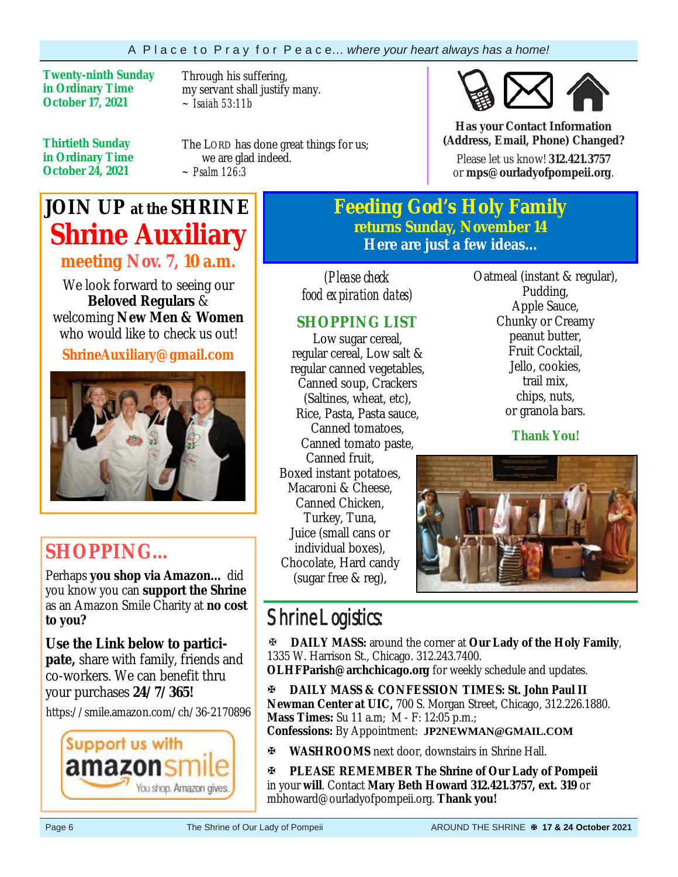**Twenty-ninth Sunday in Ordinary Time October 17, 2021** 

Through his suffering, my servant shall justify many. *~ Isaiah 53:11b*

**Thirtieth Sunday in Ordinary Time October 24, 2021**

The LORD has done great things for us; we are glad indeed. *~ Psalm 126:3*

## **JOIN UP at the SHRINE Shrine Auxiliary meeting Nov. 7, 10 a.m.**

We look forward to seeing our **Beloved Regulars** & welcoming **New Men & Women**  who would like to check us out!

**ShrineAuxiliary@gmail.com** 



## **SHOPPING…**

Perhaps **you shop via Amazon…** did you know you can **support the Shrine**  as an Amazon Smile Charity at **no cost to you?** 

**Use the Link below to participate,** share with family, friends and co-workers. We can benefit thru your purchases **24/7/365!**

https://smile.amazon.com/ch/36-2170896



**Feeding God's Holy Family returns Sunday, November 14 Here are just a few ideas...** 

*(Please check food expiration dates)* 

### **SHOPPING LIST**

Low sugar cereal, regular cereal, Low salt & regular canned vegetables, Canned soup, Crackers (Saltines, wheat, etc), Rice, Pasta, Pasta sauce, Canned tomatoes, Canned tomato paste, Canned fruit, Boxed instant potatoes, Macaroni & Cheese, Canned Chicken, Turkey, Tuna, Juice (small cans or individual boxes), Chocolate, Hard candy (sugar free & reg),

### Oatmeal (instant & regular), Pudding, Apple Sauce, Chunky or Creamy peanut butter, Fruit Cocktail, Jello, cookies, trail mix, chips, nuts, or granola bars.

**Has your Contact Information (Address, Email, Phone) Changed?**Please let us know! **312.421.3757**  or **mps@ourladyofpompeii.org**.

**Thank You!**



## Shrine Logistics:

**DAILY MASS:** around the corner at **Our Lady of the Holy Family**, 1335 W. Harrison St., Chicago. 312.243.7400.

**OLHFParish@archchicago.org** for weekly schedule and updates.

**DAILY MASS & CONFESSION TIMES: St. John Paul II Newman Center at UIC,** 700 S. Morgan Street, Chicago, 312.226.1880. **Mass Times:** Su 11 a.m; M - F: 12:05 p.m.; **Confessions:** By Appointment: **JP2NEWMAN@GMAIL.COM**

**WASHROOMS** next door, downstairs in Shrine Hall.

**PLEASE REMEMBER The Shrine of Our Lady of Pompeii**  in your **will**. Contact **Mary Beth Howard 312.421.3757, ext. 319** or mbhoward@ourladyofpompeii.org. **Thank you!**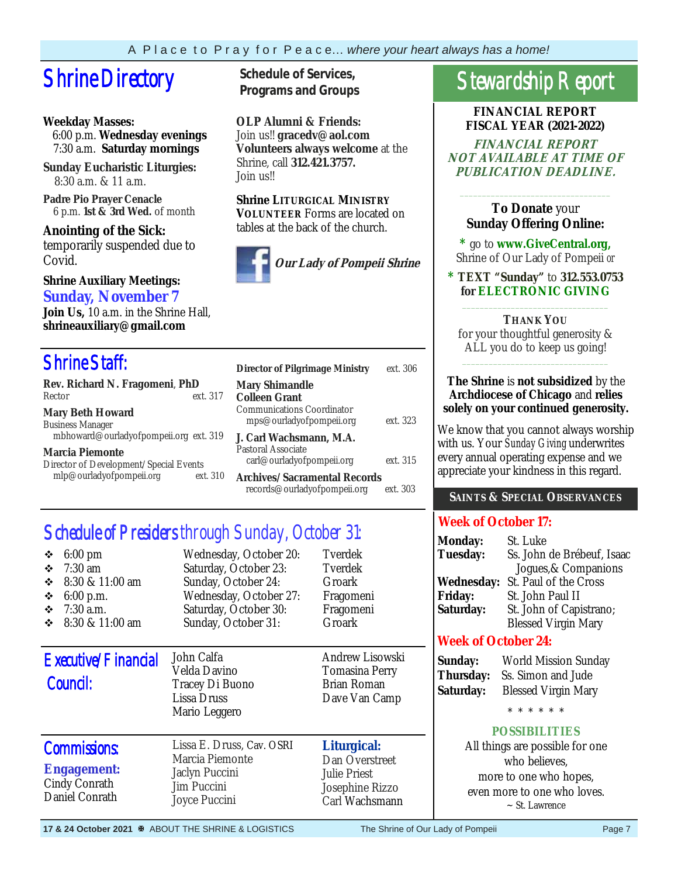## **Shrine Directory** Schedule of Services,

#### **Weekday Masses:**

 6:00 p.m. **Wednesday evenings** 7:30 a.m. **Saturday mornings**

**Sunday Eucharistic Liturgies:** 8:30 a.m. & 11 a.m.

**Padre Pio Prayer Cenacle** 6 p.m. **1st & 3rd Wed.** of month

**Anointing of the Sick:**  temporarily suspended due to Covid.

#### **Shrine Auxiliary Meetings: Sunday, November 7**

**Join Us,** 10 a.m. in the Shrine Hall, **shrineauxiliary@gmail.com** 

## Shrine Staff:

| Rev. Richard N. Fragomeni, PhD                     | M             |
|----------------------------------------------------|---------------|
| Rector                                             | ext. 317<br>C |
| <b>Mary Beth Howard</b><br><b>Business Manager</b> | Сc            |
| mbhoward@ourladyofpompeii.org ext. 319             | J.            |
| <b>Marcia Piemonte</b>                             | Рa            |
| Director of Development/Special Events             |               |
| mlp@ourladyofpompeii.org                           | ext. 310      |

**Programs and Groups**

**OLP Alumni & Friends:**  Join us!! **gracedv@aol.com Volunteers always welcome** at the Shrine, call **312.421.3757.**  Join us!!

**Shrine LITURGICAL MINISTRY VOLUNTEER** Forms are located on tables at the back of the church.



| <b>Director of Pilgrimage Ministry</b>                                                                  | ext. 306 |
|---------------------------------------------------------------------------------------------------------|----------|
| <b>Mary Shimandle</b><br><b>Colleen Grant</b><br>Communications Coordinator<br>mps@ourladyofpompeii.org | ext. 323 |
| J. Carl Wachsmann. M.A.<br>Pastoral Associate<br>carl@ourladyofpompeii.org                              | ext. 315 |
| Archives/Sacramental Records<br>records@ourladyofpompeii.org                                            | ext 303  |

## Schedule of Presiders through Sunday, October 31:

| $6:00 \text{ pm}$<br>❖<br>$7:30$ am<br>❖<br>❖<br>8:30 & 11:00 am<br>❖<br>$6:00$ p.m.<br>$7:30$ a.m.<br>❖<br>8:30 & 11:00 am<br>❖ | Wednesday, October 20:<br>Saturday, October 23:<br>Sunday, October 24:<br>Wednesday, October 27:<br>Saturday, October 30:<br>Sunday, October 31: | Tverdek<br>Tverdek<br>Groark<br>Fragomeni<br>Fragomeni<br>Groark                          |
|----------------------------------------------------------------------------------------------------------------------------------|--------------------------------------------------------------------------------------------------------------------------------------------------|-------------------------------------------------------------------------------------------|
| Executive/Financial<br>Council:                                                                                                  | John Calfa<br>Velda Davino<br>Tracey Di Buono<br>Lissa Druss<br>Mario Leggero                                                                    | Andrew Lisowski<br>Tomasina Perry<br>Brian Roman<br>Dave Van Camp                         |
| <b>Commissions:</b><br><b>Engagement:</b><br>Cindy Conrath<br>Daniel Conrath                                                     | Lissa E. Druss, Cav. OSRI<br>Marcia Piemonte<br>Jaclyn Puccini<br><b>Jim Puccini</b><br>Joyce Puccini                                            | Liturgical:<br>Dan Overstreet<br><b>Julie Priest</b><br>Josephine Rizzo<br>Carl Wachsmann |

## Stewardship Report

**FINANCIAL REPORT FISCAL YEAR (2021-2022)** 

**FINANCIAL REPORT NOT AVAILABLE AT TIME OF PUBLICATION DEADLINE.** 

### **To Donate** your **Sunday Offering Online:**

\_\_\_\_\_\_\_\_\_\_\_\_\_\_\_\_\_\_\_\_\_\_\_\_\_\_\_\_\_\_\_\_\_\_

**\*** go to **www.GiveCentral.org,** Shrine of Our Lady of Pompeii *or* 

**\* TEXT "Sunday"** to **312.553.0753 for ELECTRONIC GIVING** \_\_\_\_\_\_\_\_\_\_\_\_\_\_\_\_\_\_\_\_\_\_\_\_\_\_\_\_\_\_\_\_\_

**THANK YOU**  for your thoughtful generosity & ALL you do to keep us going! \_\_\_\_\_\_\_\_\_\_\_\_\_\_\_\_\_\_\_\_\_\_\_\_\_\_\_\_\_\_\_\_\_

#### **The Shrine** is **not subsidized** by the **Archdiocese of Chicago** and **relies solely on your continued generosity.**

We know that you cannot always worship with us. Your *Sunday Giving* underwrites every annual operating expense and we appreciate your kindness in this regard.

#### **SAINTS & SPECIAL OBSERVANCES**

### **Week of October 17:**

| <b>Monday:</b><br><b>Tuesday:</b> | St. Luke<br>Ss. John de Brébeuf, Isaac |
|-----------------------------------|----------------------------------------|
|                                   | Jogues, & Companions                   |
| <b>Wednesday:</b>                 | St. Paul of the Cross                  |
| <b>Friday:</b>                    | St. John Paul II                       |
| Saturday:                         | St. John of Capistrano;                |
|                                   | <b>Blessed Virgin Mary</b>             |

### **Week of October 24:**

| Sunday:          | I |
|------------------|---|
| <b>Fhursday:</b> | S |
| Saturday:        | F |

**Sunday:** World Mission Sunday **Thursday:** Ss. Simon and Jude **Blessed Virgin Mary** 

\* \* \* \* \* \*

### **POSSIBILITIES**

All things are possible for one who believes, more to one who hopes, even more to one who loves. ~ St. Lawrence